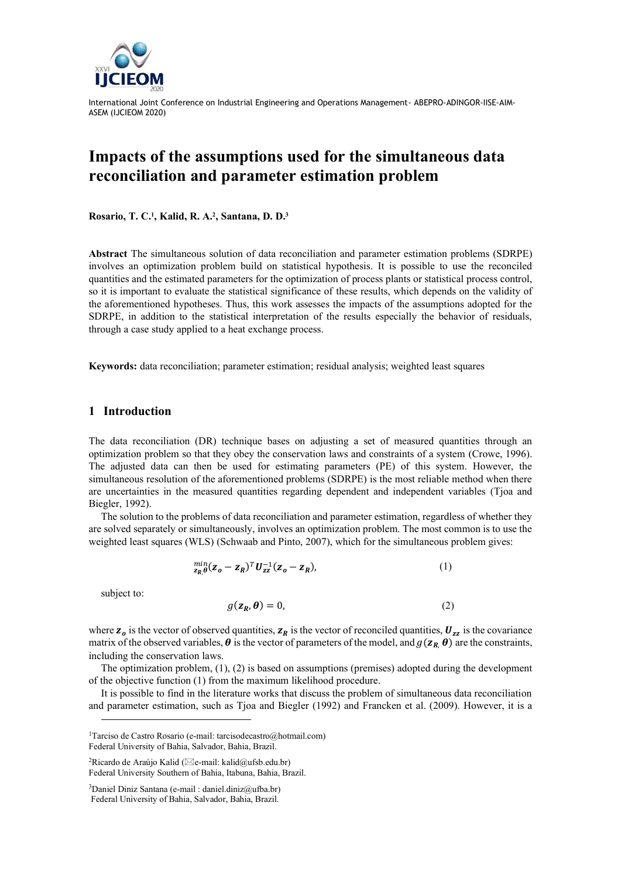

# **Impacts of the assumptions used for the simultaneous data reconciliation and parameter estimation problem**

**Rosario, T. C.<sup>1</sup> , Kalid, R. A.<sup>2</sup> , Santana, D. D.<sup>3</sup>**

**Abstract** The simultaneous solution of data reconciliation and parameter estimation problems (SDRPE) involves an optimization problem build on statistical hypothesis. It is possible to use the reconciled quantities and the estimated parameters for the optimization of process plants or statistical process control, so it is important to evaluate the statistical significance of these results, which depends on the validity of the aforementioned hypotheses. Thus, this work assesses the impacts of the assumptions adopted for the SDRPE, in addition to the statistical interpretation of the results especially the behavior of residuals, through a case study applied to a heat exchange process.

**Keywords:** data reconciliation; parameter estimation; residual analysis; weighted least squares

### **1 Introduction**

The data reconciliation (DR) technique bases on adjusting a set of measured quantities through an optimization problem so that they obey the conservation laws and constraints of a system (Crowe, 1996). The adjusted data can then be used for estimating parameters (PE) of this system. However, the simultaneous resolution of the aforementioned problems (SDRPE) is the most reliable method when there are uncertainties in the measured quantities regarding dependent and independent variables (Tjoa and Biegler, 1992).

The solution to the problems of data reconciliation and parameter estimation, regardless of whether they are solved separately or simultaneously, involves an optimization problem. The most common is to use the weighted least squares (WLS) (Schwaab and Pinto, 2007), which for the simultaneous problem gives:

$$
\min_{\mathbf{z}_R,\theta} (\mathbf{z}_o - \mathbf{z}_R)^T \mathbf{U}_{zz}^{-1} (\mathbf{z}_o - \mathbf{z}_R), \tag{1}
$$

subject to:

$$
g(\mathbf{z}_R, \boldsymbol{\theta}) = 0,\tag{2}
$$

where  $z_o$  is the vector of observed quantities,  $z_R$  is the vector of reconciled quantities,  $U_{zz}$  is the covariance matrix of the observed variables,  $\theta$  is the vector of parameters of the model, and  $g(z_R, \theta)$  are the constraints, including the conservation laws.

The optimization problem, (1), (2) is based on assumptions (premises) adopted during the development of the objective function (1) from the maximum likelihood procedure.

It is possible to find in the literature works that discuss the problem of simultaneous data reconciliation and parameter estimation, such as Tjoa and Biegler (1992) and Francken et al. (2009). However, it is a

<sup>1</sup>Tarciso de Castro Rosario (e-mail: tarcisodecastro@hotmail.com) Federal University of Bahia, Salvador, Bahia, Brazil.

<sup>&</sup>lt;sup>2</sup>Ricardo de Araújo Kalid ( $\boxtimes$ e-mail: kalid@ufsb.edu.br) Federal University Southern of Bahia, Itabuna, Bahia, Brazil.

 $3$ Daniel Diniz Santana (e-mail : daniel.diniz@ufba.br)

Federal University of Bahia, Salvador, Bahia, Brazil.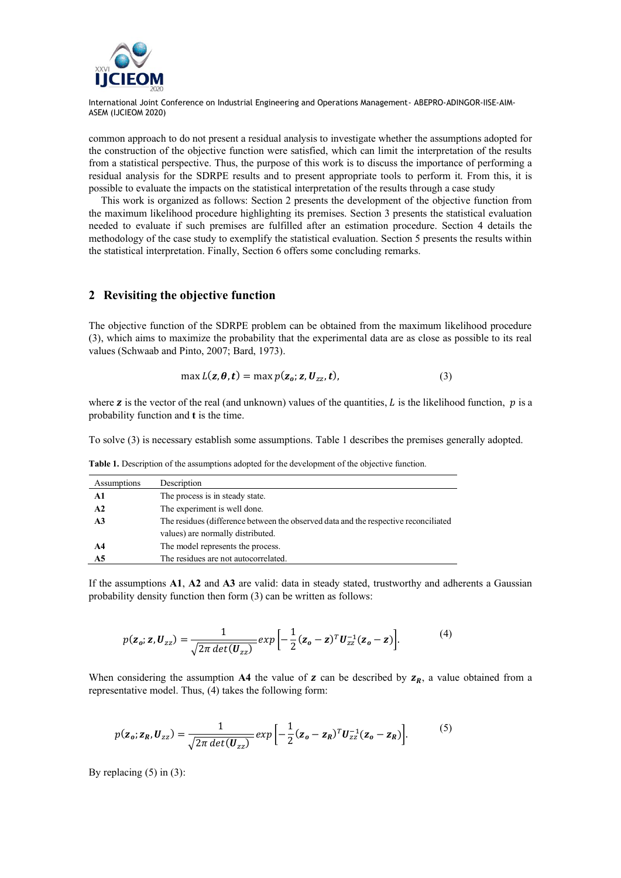

common approach to do not present a residual analysis to investigate whether the assumptions adopted for the construction of the objective function were satisfied, which can limit the interpretation of the results from a statistical perspective. Thus, the purpose of this work is to discuss the importance of performing a residual analysis for the SDRPE results and to present appropriate tools to perform it. From this, it is possible to evaluate the impacts on the statistical interpretation of the results through a case study

This work is organized as follows: Section 2 presents the development of the objective function from the maximum likelihood procedure highlighting its premises. Section 3 presents the statistical evaluation needed to evaluate if such premises are fulfilled after an estimation procedure. Section 4 details the methodology of the case study to exemplify the statistical evaluation. Section 5 presents the results within the statistical interpretation. Finally, Section 6 offers some concluding remarks.

## **2 Revisiting the objective function**

The objective function of the SDRPE problem can be obtained from the maximum likelihood procedure (3), which aims to maximize the probability that the experimental data are as close as possible to its real values (Schwaab and Pinto, 2007; Bard, 1973).

$$
\max L(\mathbf{z}, \boldsymbol{\theta}, \mathbf{t}) = \max p(\mathbf{z}_o; \mathbf{z}, \mathbf{U}_{zz}, \mathbf{t}),
$$
\n(3)

where **z** is the vector of the real (and unknown) values of the quantities, L is the likelihood function,  $p$  is a probability function and **t** is the time.

<span id="page-1-0"></span>To solve (3) is necessary establish some assumptions. Table 1 describes the premises generally adopted.

| Assumptions    | Description                                                                         |  |
|----------------|-------------------------------------------------------------------------------------|--|
| A1             | The process is in steady state.                                                     |  |
| A2             | The experiment is well done.                                                        |  |
| A <sub>3</sub> | The residues (difference between the observed data and the respective reconciliated |  |
|                | values) are normally distributed.                                                   |  |
| A4             | The model represents the process.                                                   |  |
| A5             | The residues are not autocorrelated.                                                |  |

**Table 1.** Description of the assumptions adopted for the development of the objective function.

If the assumptions **A1**, **A2** and **A3** are valid: data in steady stated, trustworthy and adherents a Gaussian probability density function then form (3) can be written as follows:

$$
p(\mathbf{z}_o; \mathbf{z}, \mathbf{U}_{zz}) = \frac{1}{\sqrt{2\pi \det(\mathbf{U}_{zz})}} exp\left[-\frac{1}{2}(\mathbf{z}_o - \mathbf{z})^T \mathbf{U}_{zz}^{-1}(\mathbf{z}_o - \mathbf{z})\right].
$$
 (4)

When considering the assumption A4 the value of  $z$  can be described by  $z_R$ , a value obtained from a representative model. Thus, (4) takes the following form:

$$
p(\mathbf{z}_o; \mathbf{z}_R, \mathbf{U}_{zz}) = \frac{1}{\sqrt{2\pi \det(\mathbf{U}_{zz})}} exp\left[-\frac{1}{2}(\mathbf{z}_o - \mathbf{z}_R)^T \mathbf{U}_{zz}^{-1}(\mathbf{z}_o - \mathbf{z}_R)\right].
$$
 (5)

By replacing  $(5)$  in  $(3)$ :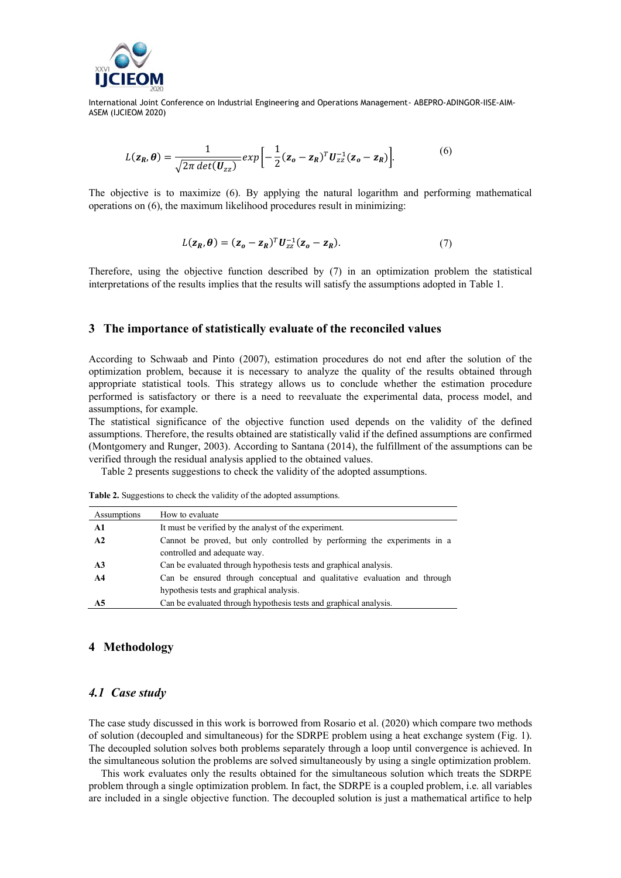

$$
L(\mathbf{z}_R, \boldsymbol{\theta}) = \frac{1}{\sqrt{2\pi \det(\mathbf{U}_{zz})}} \exp\left[-\frac{1}{2}(\mathbf{z}_o - \mathbf{z}_R)^T \mathbf{U}_{zz}^{-1}(\mathbf{z}_o - \mathbf{z}_R)\right].
$$
 (6)

The objective is to maximize (6). By applying the natural logarithm and performing mathematical operations on (6), the maximum likelihood procedures result in minimizing:

$$
L(\mathbf{z}_R, \boldsymbol{\theta}) = (\mathbf{z}_o - \mathbf{z}_R)^T \mathbf{U}_{zz}^{-1} (\mathbf{z}_o - \mathbf{z}_R). \tag{7}
$$

Therefore, using the objective function described by (7) in an optimization problem the statistical interpretations of the results implies that the results will satisfy the assumptions adopted in [Table](#page-1-0) 1.

#### **3 The importance of statistically evaluate of the reconciled values**

According to Schwaab and Pinto (2007), estimation procedures do not end after the solution of the optimization problem, because it is necessary to analyze the quality of the results obtained through appropriate statistical tools. This strategy allows us to conclude whether the estimation procedure performed is satisfactory or there is a need to reevaluate the experimental data, process model, and assumptions, for example.

The statistical significance of the objective function used depends on the validity of the defined assumptions. Therefore, the results obtained are statistically valid if the defined assumptions are confirmed (Montgomery and Runger, 2003). According to Santana (2014), the fulfillment of the assumptions can be verified through the residual analysis applied to the obtained values.

Table 2 presents suggestions to check the validity of the adopted assumptions.

| Assumptions | How to evaluate                                                          |
|-------------|--------------------------------------------------------------------------|
| Al          | It must be verified by the analyst of the experiment.                    |
| A2          | Cannot be proved, but only controlled by performing the experiments in a |
|             | controlled and adequate way.                                             |

**Table 2.** Suggestions to check the validity of the adopted assumptions.

| $\mathbf{A}$ 3 | Can be evaluated through hypothesis tests and graphical analysis.        |
|----------------|--------------------------------------------------------------------------|
| A4             | Can be ensured through conceptual and qualitative evaluation and through |
|                | hypothesis tests and graphical analysis.                                 |
| A5             | Can be evaluated through hypothesis tests and graphical analysis.        |

# **4 Methodology**

## *4.1 Case study*

The case study discussed in this work is borrowed from Rosario et al. (2020) which compare two methods of solution (decoupled and simultaneous) for the SDRPE problem using a heat exchange system (Fig. 1). The decoupled solution solves both problems separately through a loop until convergence is achieved. In the simultaneous solution the problems are solved simultaneously by using a single optimization problem.

This work evaluates only the results obtained for the simultaneous solution which treats the SDRPE problem through a single optimization problem. In fact, the SDRPE is a coupled problem, i.e. all variables are included in a single objective function. The decoupled solution is just a mathematical artifice to help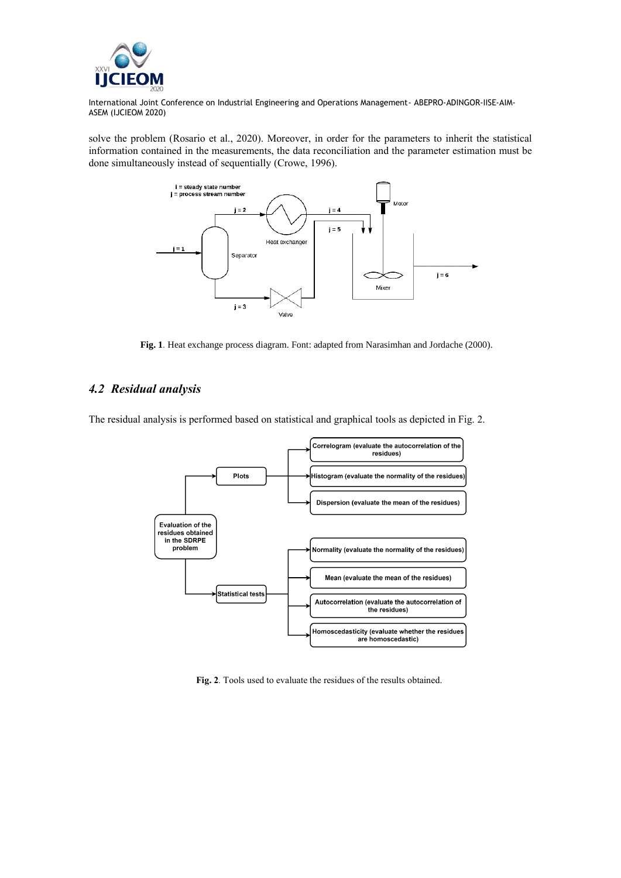

solve the problem (Rosario et al., 2020). Moreover, in order for the parameters to inherit the statistical information contained in the measurements, the data reconciliation and the parameter estimation must be done simultaneously instead of sequentially (Crowe, 1996).



Fig. 1. Heat exchange process diagram. Font: adapted from Narasimhan and Jordache (2000).

## *4.2 Residual analysis*

The residual analysis is performed based on statistical and graphical tools as depicted in Fig. 2.



**Fig. 2***.* Tools used to evaluate the residues of the results obtained.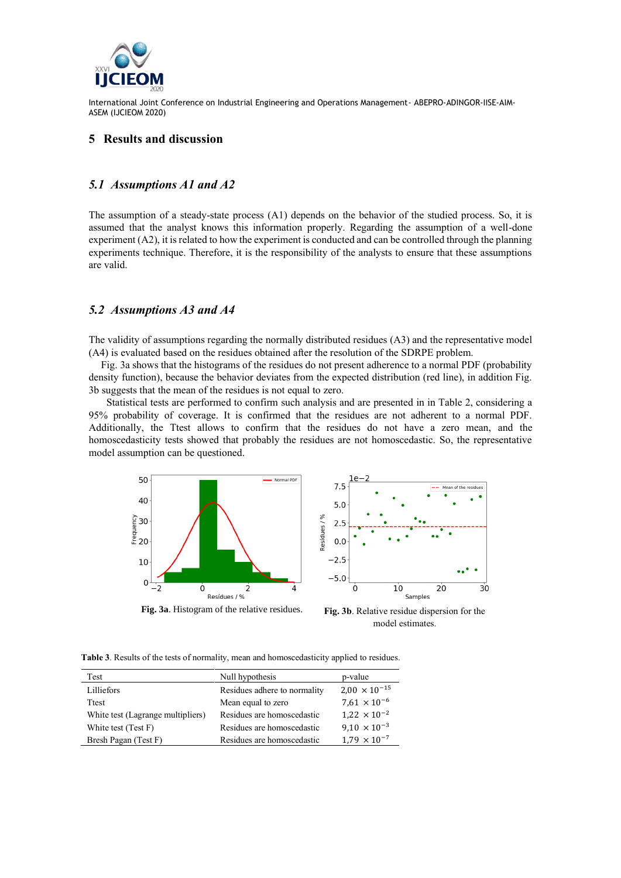

## **5 Results and discussion**

## *5.1 Assumptions A1 and A2*

The assumption of a steady-state process (A1) depends on the behavior of the studied process. So, it is assumed that the analyst knows this information properly. Regarding the assumption of a well-done experiment (A2), it is related to how the experiment is conducted and can be controlled through the planning experiments technique. Therefore, it is the responsibility of the analysts to ensure that these assumptions are valid.

#### *5.2 Assumptions A3 and A4*

The validity of assumptions regarding the normally distributed residues (A3) and the representative model (A4) is evaluated based on the residues obtained after the resolution of the SDRPE problem.

Fig. 3a shows that the histograms of the residues do not present adherence to a normal PDF (probability density function), because the behavior deviates from the expected distribution (red line), in addition Fig. 3b suggests that the mean of the residues is not equal to zero.

 Statistical tests are performed to confirm such analysis and are presented in in Table 2, considering a 95% probability of coverage. It is confirmed that the residues are not adherent to a normal PDF. Additionally, the Ttest allows to confirm that the residues do not have a zero mean, and the homoscedasticity tests showed that probably the residues are not homoscedastic. So, the representative model assumption can be questioned.



**Fig. 3a**. Histogram of the relative residues. **Fig. 3b**. Relative residue dispersion for the

model estimates.

 $30$ 

**Table 3**. Results of the tests of normality, mean and homoscedasticity applied to residues.

| Test                              | Null hypothesis              | p-value                |
|-----------------------------------|------------------------------|------------------------|
| Lilliefors                        | Residues adhere to normality | $2,00 \times 10^{-15}$ |
| <b>T</b> test                     | Mean equal to zero           | $7.61 \times 10^{-6}$  |
| White test (Lagrange multipliers) | Residues are homoscedastic   | $1.22 \times 10^{-2}$  |
| White test (Test F)               | Residues are homoscedastic   | $9.10 \times 10^{-3}$  |
| Bresh Pagan (Test F)              | Residues are homoscedastic   | $1.79 \times 10^{-7}$  |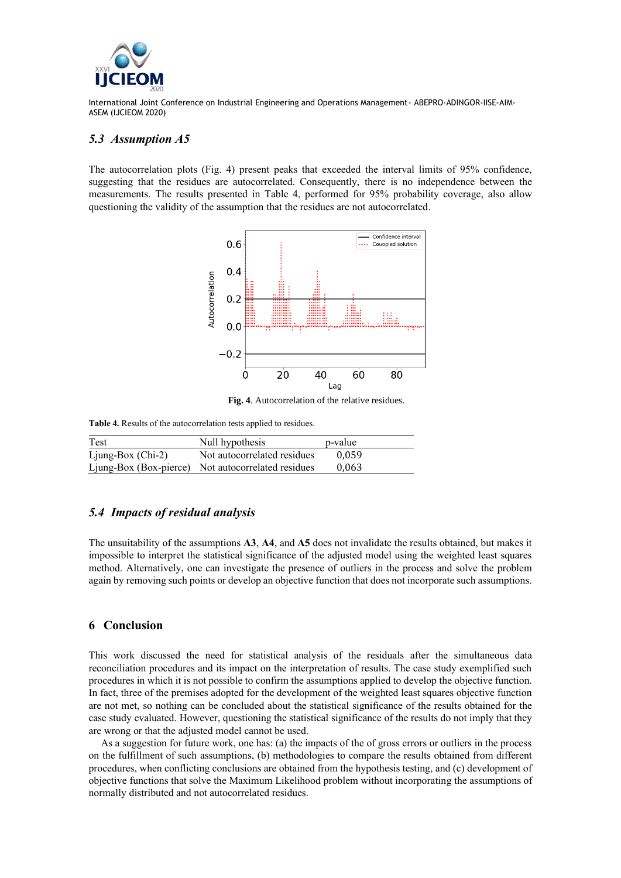

## *5.3 Assumption A5*

The autocorrelation plots (Fig. 4) present peaks that exceeded the interval limits of 95% confidence, suggesting that the residues are autocorrelated. Consequently, there is no independence between the measurements. The results presented in Table 4, performed for 95% probability coverage, also allow questioning the validity of the assumption that the residues are not autocorrelated.



**Fig. 4**. Autocorrelation of the relative residues.

**Table 4.** Results of the autocorrelation tests applied to residues.

| Test                | Null hypothesis                                    | p-value |
|---------------------|----------------------------------------------------|---------|
| $Ljung-Box (Chi-2)$ | Not autocorrelated residues                        | 0.059   |
|                     | Ljung-Box (Box-pierce) Not autocorrelated residues | 0.063   |

# *5.4 Impacts of residual analysis*

The unsuitability of the assumptions **A3**, **A4**, and **A5** does not invalidate the results obtained, but makes it impossible to interpret the statistical significance of the adjusted model using the weighted least squares method. Alternatively, one can investigate the presence of outliers in the process and solve the problem again by removing such points or develop an objective function that does not incorporate such assumptions.

## **6 Conclusion**

This work discussed the need for statistical analysis of the residuals after the simultaneous data reconciliation procedures and its impact on the interpretation of results. The case study exemplified such procedures in which it is not possible to confirm the assumptions applied to develop the objective function. In fact, three of the premises adopted for the development of the weighted least squares objective function are not met, so nothing can be concluded about the statistical significance of the results obtained for the case study evaluated. However, questioning the statistical significance of the results do not imply that they are wrong or that the adjusted model cannot be used.

As a suggestion for future work, one has: (a) the impacts of the of gross errors or outliers in the process on the fulfillment of such assumptions, (b) methodologies to compare the results obtained from different procedures, when conflicting conclusions are obtained from the hypothesis testing, and (c) development of objective functions that solve the Maximum Likelihood problem without incorporating the assumptions of normally distributed and not autocorrelated residues.